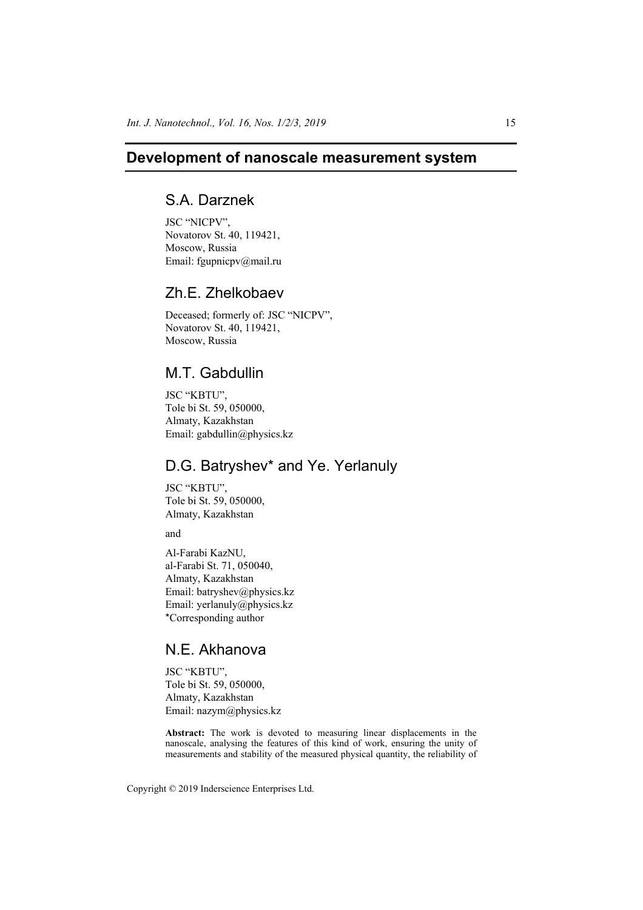### **Development of nanoscale measurement system**

# S.A. Darznek

JSC "NICPV", Novatorov St. 40, 119421, Moscow, Russia Email: fgupnicpv@mail.ru

### Zh.E. Zhelkobaev

Deceased; formerly of: JSC "NICPV", Novatorov St. 40, 119421, Moscow, Russia

### M.T. Gabdullin

JSC "KBTU", Tole bi St. 59, 050000, Almaty, Kazakhstan Email: gabdullin@physics.kz

## D.G. Batryshev\* and Ye. Yerlanuly

JSC "KBTU", Tole bi St. 59, 050000, Almaty, Kazakhstan

and

Al-Farabi KazNU, al-Farabi St. 71, 050040, Almaty, Kazakhstan Email: batryshev@physics.kz Email: yerlanuly@physics.kz \*Corresponding author

## N.E. Akhanova

JSC "KBTU", Tole bi St. 59, 050000, Almaty, Kazakhstan Email: nazym@physics.kz

**Abstract:** The work is devoted to measuring linear displacements in the nanoscale, analysing the features of this kind of work, ensuring the unity of measurements and stability of the measured physical quantity, the reliability of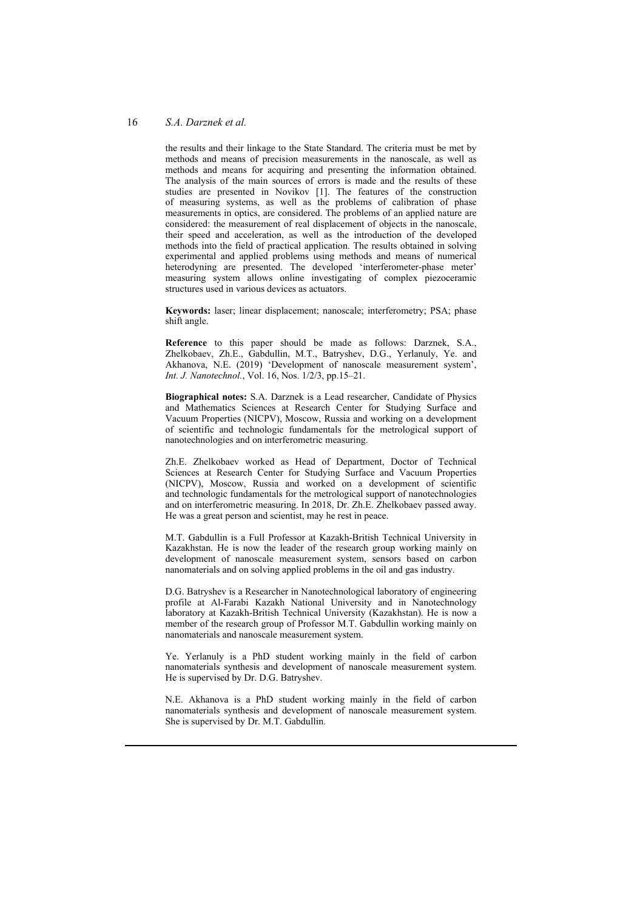#### 16 *S.A. Darznek et al.*

the results and their linkage to the State Standard. The criteria must be met by methods and means of precision measurements in the nanoscale, as well as methods and means for acquiring and presenting the information obtained. The analysis of the main sources of errors is made and the results of these studies are presented in Novikov [1]. The features of the construction of measuring systems, as well as the problems of calibration of phase measurements in optics, are considered. The problems of an applied nature are considered: the measurement of real displacement of objects in the nanoscale, their speed and acceleration, as well as the introduction of the developed methods into the field of practical application. The results obtained in solving experimental and applied problems using methods and means of numerical heterodyning are presented. The developed 'interferometer-phase meter' measuring system allows online investigating of complex piezoceramic structures used in various devices as actuators.

**Keywords:** laser; linear displacement; nanoscale; interferometry; PSA; phase shift angle.

**Reference** to this paper should be made as follows: Darznek, S.A., Zhelkobaev, Zh.E., Gabdullin, M.T., Batryshev, D.G., Yerlanuly, Ye. and Akhanova, N.E. (2019) 'Development of nanoscale measurement system', *Int. J. Nanotechnol.*, Vol. 16, Nos. 1/2/3, pp.15–21.

**Biographical notes:** S.A. Darznek is a Lead researcher, Candidate of Physics and Mathematics Sciences at Research Center for Studying Surface and Vacuum Properties (NICPV), Moscow, Russia and working on a development of scientific and technologic fundamentals for the metrological support of nanotechnologies and on interferometric measuring.

Zh.E. Zhelkobaev worked as Head of Department, Doctor of Technical Sciences at Research Center for Studying Surface and Vacuum Properties (NICPV), Moscow, Russia and worked on a development of scientific and technologic fundamentals for the metrological support of nanotechnologies and on interferometric measuring. In 2018, Dr. Zh.E. Zhelkobaev passed away. He was a great person and scientist, may he rest in peace.

M.T. Gabdullin is a Full Professor at Kazakh-British Technical University in Kazakhstan. He is now the leader of the research group working mainly on development of nanoscale measurement system, sensors based on carbon nanomaterials and on solving applied problems in the oil and gas industry.

D.G. Batryshev is a Researcher in Nanotechnological laboratory of engineering profile at Al-Farabi Kazakh National University and in Nanotechnology laboratory at Kazakh-British Technical University (Kazakhstan). He is now a member of the research group of Professor M.T. Gabdullin working mainly on nanomaterials and nanoscale measurement system.

Ye. Yerlanuly is a PhD student working mainly in the field of carbon nanomaterials synthesis and development of nanoscale measurement system. He is supervised by Dr. D.G. Batryshev.

N.E. Akhanova is a PhD student working mainly in the field of carbon nanomaterials synthesis and development of nanoscale measurement system. She is supervised by Dr. M.T. Gabdullin.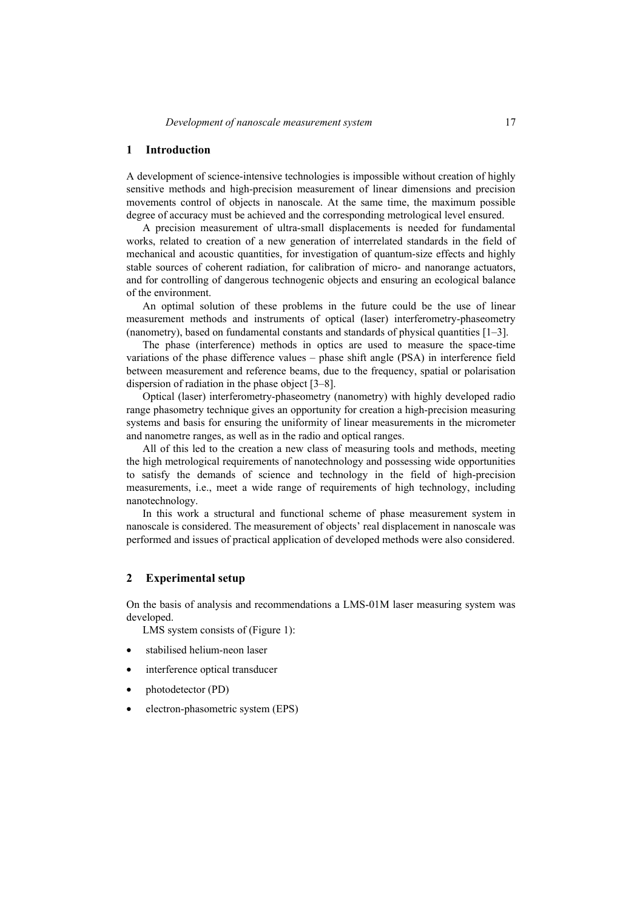#### **1 Introduction**

A development of science-intensive technologies is impossible without creation of highly sensitive methods and high-precision measurement of linear dimensions and precision movements control of objects in nanoscale. At the same time, the maximum possible degree of accuracy must be achieved and the corresponding metrological level ensured.

A precision measurement of ultra-small displacements is needed for fundamental works, related to creation of a new generation of interrelated standards in the field of mechanical and acoustic quantities, for investigation of quantum-size effects and highly stable sources of coherent radiation, for calibration of micro- and nanorange actuators, and for controlling of dangerous technogenic objects and ensuring an ecological balance of the environment.

An optimal solution of these problems in the future could be the use of linear measurement methods and instruments of optical (laser) interferometry-phaseometry (nanometry), based on fundamental constants and standards of physical quantities [1–3].

The phase (interference) methods in optics are used to measure the space-time variations of the phase difference values – phase shift angle (PSA) in interference field between measurement and reference beams, due to the frequency, spatial or polarisation dispersion of radiation in the phase object [3–8].

Optical (laser) interferometry-phaseometry (nanometry) with highly developed radio range phasometry technique gives an opportunity for creation a high-precision measuring systems and basis for ensuring the uniformity of linear measurements in the micrometer and nanometre ranges, as well as in the radio and optical ranges.

All of this led to the creation a new class of measuring tools and methods, meeting the high metrological requirements of nanotechnology and possessing wide opportunities to satisfy the demands of science and technology in the field of high-precision measurements, i.e., meet a wide range of requirements of high technology, including nanotechnology.

In this work a structural and functional scheme of phase measurement system in nanoscale is considered. The measurement of objects' real displacement in nanoscale was performed and issues of practical application of developed methods were also considered.

### **2 Experimental setup**

On the basis of analysis and recommendations a LMS-01M laser measuring system was developed.

LMS system consists of (Figure 1):

- stabilised helium-neon laser
- interference optical transducer
- photodetector (PD)
- electron-phasometric system (EPS)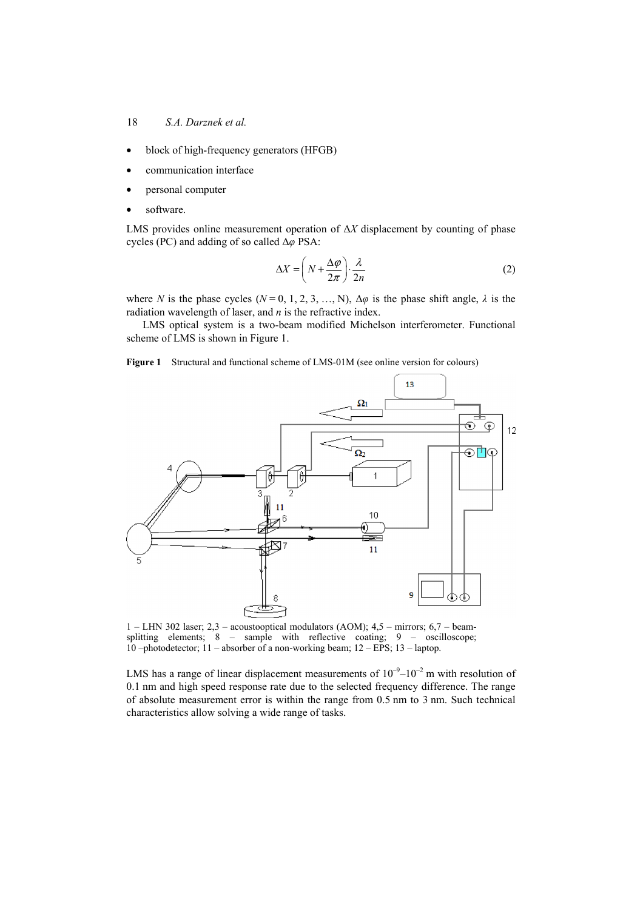18 *S.A. Darznek et al.* 

- block of high-frequency generators (HFGB)
- communication interface
- personal computer
- software.

LMS provides online measurement operation of Δ*X* displacement by counting of phase cycles (PC) and adding of so called Δ*φ* PSA:

$$
\Delta X = \left( N + \frac{\Delta \varphi}{2\pi} \right) \cdot \frac{\lambda}{2n}
$$
 (2)

where *N* is the phase cycles ( $N = 0, 1, 2, 3, \ldots, N$ ),  $\Delta \varphi$  is the phase shift angle,  $\lambda$  is the radiation wavelength of laser, and *n* is the refractive index.

LMS optical system is a two-beam modified Michelson interferometer. Functional scheme of LMS is shown in Figure 1.

**Figure 1** Structural and functional scheme of LMS-01M (see online version for colours)



1 – LHN 302 laser; 2,3 – acoustooptical modulators (AOM); 4,5 – mirrors; 6,7 – beamsplitting elements; 8 – sample with reflective coating; 9 – oscilloscope; 10 –photodetector; 11 – absorber of a non-working beam; 12 – EPS; 13 – laptop.

LMS has a range of linear displacement measurements of  $10^{-9}$ – $10^{-2}$  m with resolution of 0.1 nm and high speed response rate due to the selected frequency difference. The range of absolute measurement error is within the range from 0.5 nm to 3 nm. Such technical characteristics allow solving a wide range of tasks.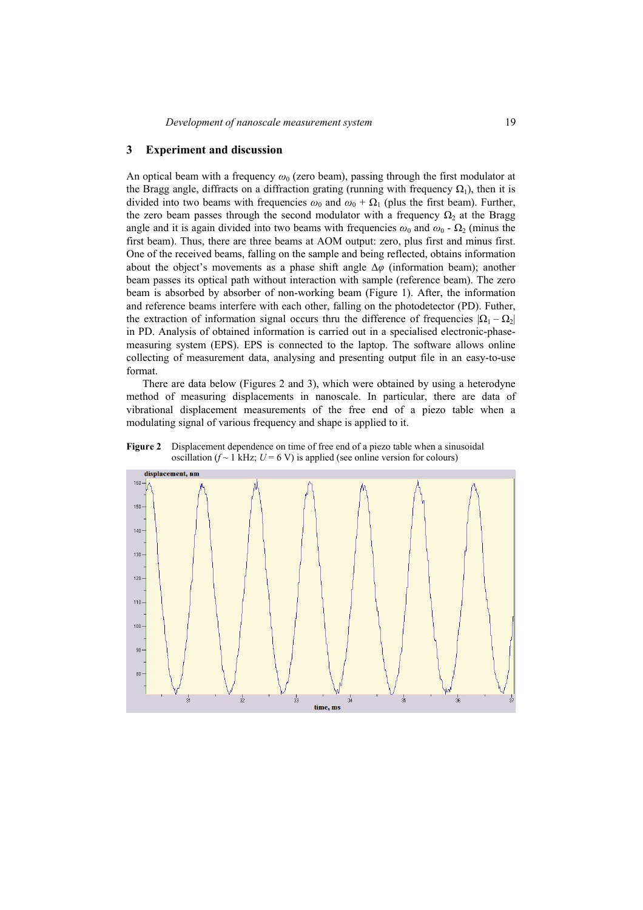### **3 Experiment and discussion**

An optical beam with a frequency  $\omega_0$  (zero beam), passing through the first modulator at the Bragg angle, diffracts on a diffraction grating (running with frequency  $\Omega_1$ ), then it is divided into two beams with frequencies  $\omega_0$  and  $\omega_0 + \Omega_1$  (plus the first beam). Further, the zero beam passes through the second modulator with a frequency  $\Omega_2$  at the Bragg angle and it is again divided into two beams with frequencies  $\omega_0$  and  $\omega_0$  -  $\Omega_2$  (minus the first beam). Thus, there are three beams at AOM output: zero, plus first and minus first. One of the received beams, falling on the sample and being reflected, obtains information about the object's movements as a phase shift angle Δ*φ* (information beam); another beam passes its optical path without interaction with sample (reference beam). The zero beam is absorbed by absorber of non-working beam (Figure 1). After, the information and reference beams interfere with each other, falling on the photodetector (PD). Futher, the extraction of information signal occurs thru the difference of frequencies  $|\Omega_1 - \Omega_2|$ in PD. Analysis of obtained information is carried out in a specialised electronic-phasemeasuring system (EPS). EPS is connected to the laptop. The software allows online collecting of measurement data, analysing and presenting output file in an easy-to-use format.

There are data below (Figures 2 and 3), which were obtained by using a heterodyne method of measuring displacements in nanoscale. In particular, there are data of vibrational displacement measurements of the free end of a piezo table when a modulating signal of various frequency and shape is applied to it.

**Figure 2** Displacement dependence on time of free end of a piezo table when a sinusoidal oscillation ( $f \sim 1$  kHz;  $U = 6$  V) is applied (see online version for colours)

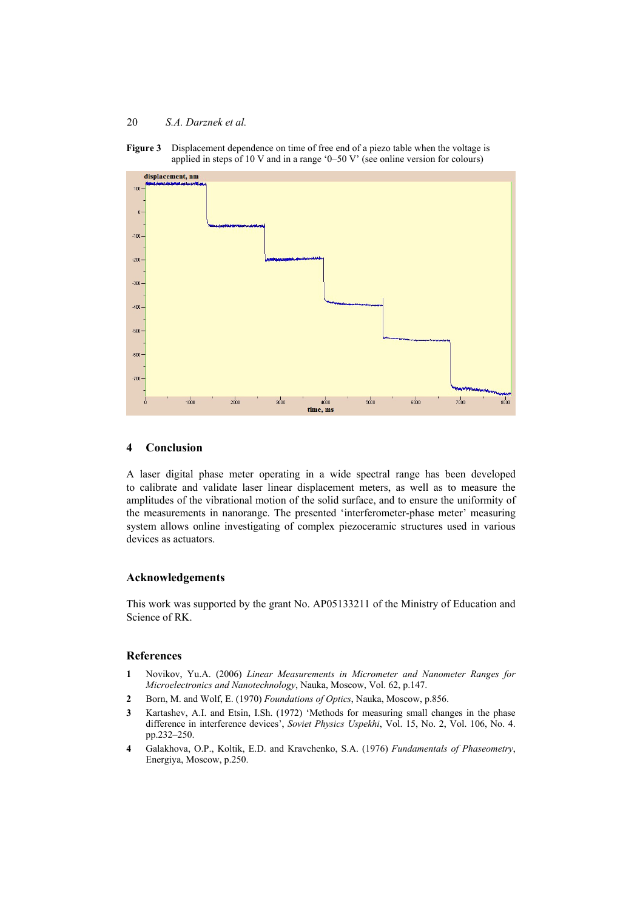### 20 *S.A. Darznek et al.*



**Figure 3** Displacement dependence on time of free end of a piezo table when the voltage is applied in steps of 10 V and in a range '0–50 V' (see online version for colours)

#### **4 Conclusion**

A laser digital phase meter operating in a wide spectral range has been developed to calibrate and validate laser linear displacement meters, as well as to measure the amplitudes of the vibrational motion of the solid surface, and to ensure the uniformity of the measurements in nanorange. The presented 'interferometer-phase meter' measuring system allows online investigating of complex piezoceramic structures used in various devices as actuators.

#### **Acknowledgements**

This work was supported by the grant No. AP05133211 of the Ministry of Education and Science of RK.

### **References**

- **1** Novikov, Yu.A. (2006) *Linear Measurements in Micrometer and Nanometer Ranges for Microelectronics and Nanotechnology*, Nauka, Moscow, Vol. 62, p.147.
- **2** Born, M. and Wolf, E. (1970) *Foundations of Optics*, Nauka, Moscow, p.856.
- **3** Kartashev, A.I. and Etsin, I.Sh. (1972) 'Methods for measuring small changes in the phase difference in interference devices', *Soviet Physics Uspekhi*, Vol. 15, No. 2, Vol. 106, No. 4. pp.232–250.
- **4** Galakhova, O.P., Koltik, E.D. and Kravchenko, S.A. (1976) *Fundamentals of Phaseometry*, Energiya, Moscow, p.250.